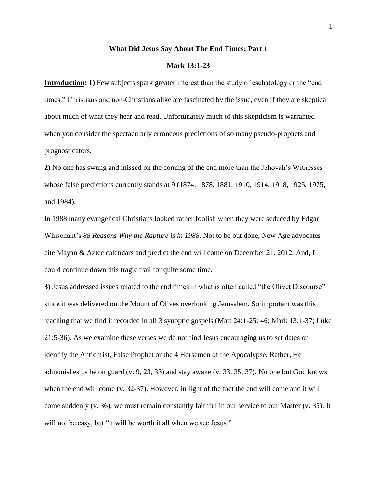### **What Did Jesus Say About The End Times: Part 1**

### **Mark 13:1-23**

**Introduction: 1)** Few subjects spark greater interest than the study of eschatology or the "end" times." Christians and non-Christians alike are fascinated by the issue, even if they are skeptical about much of what they hear and read. Unfortunately much of this skepticism is warranted when you consider the spectacularly erroneous predictions of so many pseudo-prophets and prognosticators.

**2)** No one has swung and missed on the coming of the end more than the Jehovah's Witnesses whose false predictions currently stands at 9 (1874, 1878, 1881, 1910, 1914, 1918, 1925, 1975, and 1984).

In 1988 many evangelical Christians looked rather foolish when they were seduced by Edgar Whisenant's *88 Reasons Why the Rapture is in 1988*. Not to be out done, New Age advocates cite Mayan & Aztec calendars and predict the end will come on December 21, 2012. And, I could continue down this tragic trail for quite some time.

**3)** Jesus addressed issues related to the end times in what is often called "the Olivet Discourse" since it was delivered on the Mount of Olives overlooking Jerusalem. So important was this teaching that we find it recorded in all 3 synoptic gospels (Matt 24:1-25: 46; Mark 13:1-37; Luke 21:5-36). As we examine these verses we do not find Jesus encouraging us to set dates or identify the Antichrist, False Prophet or the 4 Horsemen of the Apocalypse. Rather, He admonishes us be on guard (v. 9, 23, 33) and stay awake (v. 33, 35, 37). No one but God knows when the end will come (v. 32-37). However, in light of the fact the end will come and it will come suddenly (v. 36), we must remain constantly faithful in our service to our Master (v. 35). It will not be easy, but "it will be worth it all when we see Jesus."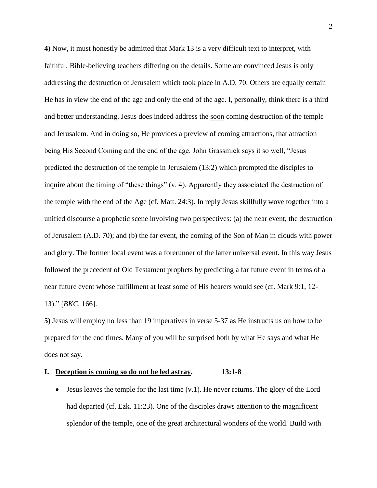**4)** Now, it must honestly be admitted that Mark 13 is a very difficult text to interpret, with faithful, Bible-believing teachers differing on the details. Some are convinced Jesus is only addressing the destruction of Jerusalem which took place in A.D. 70. Others are equally certain He has in view the end of the age and only the end of the age. I, personally, think there is a third and better understanding. Jesus does indeed address the soon coming destruction of the temple and Jerusalem. And in doing so, He provides a preview of coming attractions, that attraction being His Second Coming and the end of the age. John Grassmick says it so well, "Jesus predicted the destruction of the temple in Jerusalem (13:2) which prompted the disciples to inquire about the timing of "these things" (v. 4). Apparently they associated the destruction of the temple with the end of the Age (cf. Matt. 24:3). In reply Jesus skillfully wove together into a unified discourse a prophetic scene involving two perspectives: (a) the near event, the destruction of Jerusalem (A.D. 70); and (b) the far event, the coming of the Son of Man in clouds with power and glory. The former local event was a forerunner of the latter universal event. In this way Jesus followed the precedent of Old Testament prophets by predicting a far future event in terms of a near future event whose fulfillment at least some of His hearers would see (cf. Mark 9:1, 12- 13)." [*BKC*, 166].

**5)** Jesus will employ no less than 19 imperatives in verse 5-37 as He instructs us on how to be prepared for the end times. Many of you will be surprised both by what He says and what He does not say.

# **I. Deception is coming so do not be led astray. 13:1-8**

 $\bullet$  Jesus leaves the temple for the last time (v.1). He never returns. The glory of the Lord had departed (cf. Ezk. 11:23). One of the disciples draws attention to the magnificent splendor of the temple, one of the great architectural wonders of the world. Build with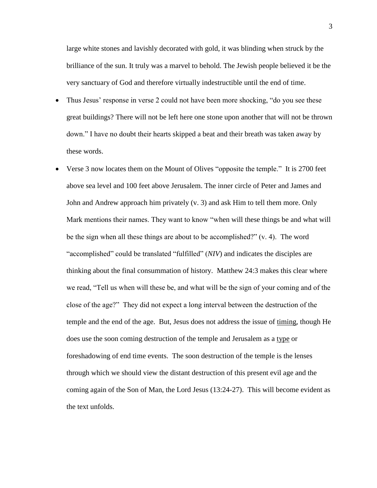large white stones and lavishly decorated with gold, it was blinding when struck by the brilliance of the sun. It truly was a marvel to behold. The Jewish people believed it be the very sanctuary of God and therefore virtually indestructible until the end of time.

- Thus Jesus' response in verse 2 could not have been more shocking, "do you see these great buildings? There will not be left here one stone upon another that will not be thrown down." I have no doubt their hearts skipped a beat and their breath was taken away by these words.
- Verse 3 now locates them on the Mount of Olives "opposite the temple." It is 2700 feet above sea level and 100 feet above Jerusalem. The inner circle of Peter and James and John and Andrew approach him privately (v. 3) and ask Him to tell them more. Only Mark mentions their names. They want to know "when will these things be and what will be the sign when all these things are about to be accomplished?" (v. 4). The word "accomplished" could be translated "fulfilled" (*NIV*) and indicates the disciples are thinking about the final consummation of history. Matthew 24:3 makes this clear where we read, "Tell us when will these be, and what will be the sign of your coming and of the close of the age?" They did not expect a long interval between the destruction of the temple and the end of the age. But, Jesus does not address the issue of timing, though He does use the soon coming destruction of the temple and Jerusalem as a type or foreshadowing of end time events. The soon destruction of the temple is the lenses through which we should view the distant destruction of this present evil age and the coming again of the Son of Man, the Lord Jesus (13:24-27). This will become evident as the text unfolds.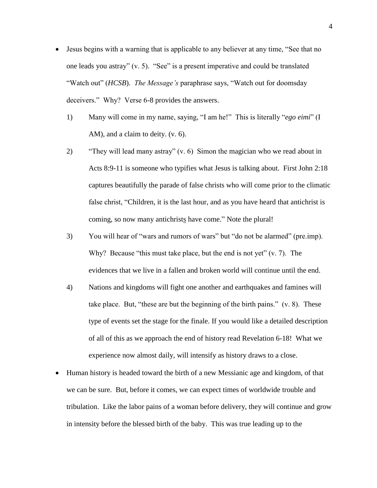- Jesus begins with a warning that is applicable to any believer at any time, "See that no one leads you astray" (v. 5). "See" is a present imperative and could be translated "Watch out" (*HCSB*). *The Message's* paraphrase says, "Watch out for doomsday deceivers." Why? Verse 6-8 provides the answers.
	- 1) Many will come in my name, saying, "I am he!" This is literally "*ego eimi*" (I AM), and a claim to deity. (v. 6).
	- 2) "They will lead many astray" (v. 6) Simon the magician who we read about in Acts 8:9-11 is someone who typifies what Jesus is talking about. First John 2:18 captures beautifully the parade of false christs who will come prior to the climatic false christ, "Children, it is the last hour, and as you have heard that antichrist is coming, so now many antichrists have come." Note the plural!
	- 3) You will hear of "wars and rumors of wars" but "do not be alarmed" (pre.imp). Why? Because "this must take place, but the end is not yet" (v. 7). The evidences that we live in a fallen and broken world will continue until the end.
	- 4) Nations and kingdoms will fight one another and earthquakes and famines will take place. But, "these are but the beginning of the birth pains." (v. 8). These type of events set the stage for the finale. If you would like a detailed description of all of this as we approach the end of history read Revelation 6-18! What we experience now almost daily, will intensify as history draws to a close.
- Human history is headed toward the birth of a new Messianic age and kingdom, of that we can be sure. But, before it comes, we can expect times of worldwide trouble and tribulation. Like the labor pains of a woman before delivery, they will continue and grow in intensity before the blessed birth of the baby. This was true leading up to the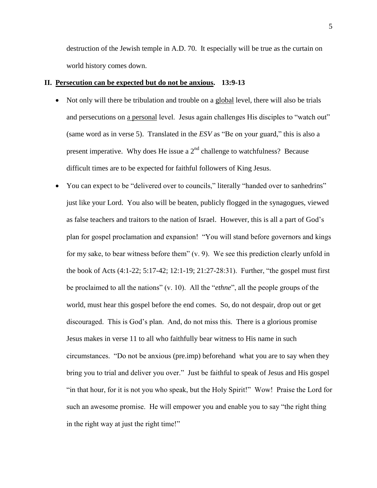destruction of the Jewish temple in A.D. 70. It especially will be true as the curtain on world history comes down.

## **II. Persecution can be expected but do not be anxious. 13:9-13**

- Not only will there be tribulation and trouble on a global level, there will also be trials and persecutions on a personal level. Jesus again challenges His disciples to "watch out" (same word as in verse 5). Translated in the *ESV* as "Be on your guard," this is also a present imperative. Why does He issue a  $2<sup>nd</sup>$  challenge to watchfulness? Because difficult times are to be expected for faithful followers of King Jesus.
- You can expect to be "delivered over to councils," literally "handed over to sanhedrins" just like your Lord. You also will be beaten, publicly flogged in the synagogues, viewed as false teachers and traitors to the nation of Israel. However, this is all a part of God's plan for gospel proclamation and expansion! "You will stand before governors and kings for my sake, to bear witness before them" (v. 9). We see this prediction clearly unfold in the book of Acts (4:1-22; 5:17-42; 12:1-19; 21:27-28:31). Further, "the gospel must first be proclaimed to all the nations" (v. 10). All the "*ethne*", all the people groups of the world, must hear this gospel before the end comes. So, do not despair, drop out or get discouraged. This is God's plan. And, do not miss this. There is a glorious promise Jesus makes in verse 11 to all who faithfully bear witness to His name in such circumstances. "Do not be anxious (pre.imp) beforehand what you are to say when they bring you to trial and deliver you over." Just be faithful to speak of Jesus and His gospel "in that hour, for it is not you who speak, but the Holy Spirit!" Wow! Praise the Lord for such an awesome promise. He will empower you and enable you to say "the right thing in the right way at just the right time!"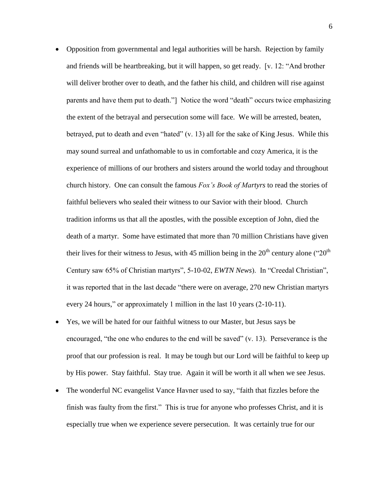- Opposition from governmental and legal authorities will be harsh. Rejection by family and friends will be heartbreaking, but it will happen, so get ready. [v. 12: "And brother will deliver brother over to death, and the father his child, and children will rise against parents and have them put to death."] Notice the word "death" occurs twice emphasizing the extent of the betrayal and persecution some will face. We will be arrested, beaten, betrayed, put to death and even "hated" (v. 13) all for the sake of King Jesus. While this may sound surreal and unfathomable to us in comfortable and cozy America, it is the experience of millions of our brothers and sisters around the world today and throughout church history. One can consult the famous *Fox's Book of Martyrs* to read the stories of faithful believers who sealed their witness to our Savior with their blood. Church tradition informs us that all the apostles, with the possible exception of John, died the death of a martyr. Some have estimated that more than 70 million Christians have given their lives for their witness to Jesus, with 45 million being in the  $20<sup>th</sup>$  century alone (" $20<sup>th</sup>$ Century saw 65% of Christian martyrs", 5-10-02, *EWTN News*). In "Creedal Christian", it was reported that in the last decade "there were on average, 270 new Christian martyrs every 24 hours," or approximately 1 million in the last 10 years (2-10-11).
- Yes, we will be hated for our faithful witness to our Master, but Jesus says be encouraged, "the one who endures to the end will be saved" (v. 13). Perseverance is the proof that our profession is real. It may be tough but our Lord will be faithful to keep up by His power. Stay faithful. Stay true. Again it will be worth it all when we see Jesus.
- The wonderful NC evangelist Vance Havner used to say, "faith that fizzles before the finish was faulty from the first." This is true for anyone who professes Christ, and it is especially true when we experience severe persecution. It was certainly true for our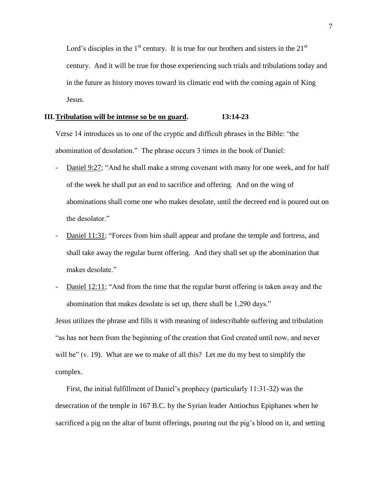Lord's disciples in the  $1<sup>st</sup>$  century. It is true for our brothers and sisters in the  $21<sup>st</sup>$ century. And it will be true for those experiencing such trials and tribulations today and in the future as history moves toward its climatic end with the coming again of King Jesus.

### **III.Tribulation will be intense so be on guard. 13:14-23**

Verse 14 introduces us to one of the cryptic and difficult phrases in the Bible: "the abomination of desolation." The phrase occurs 3 times in the book of Daniel:

- Daniel 9:27; "And he shall make a strong covenant with many for one week, and for half of the week he shall put an end to sacrifice and offering. And on the wing of abominations shall come one who makes desolate, until the decreed end is poured out on the desolator."
- Daniel 11:31; "Forces from him shall appear and profane the temple and fortress, and shall take away the regular burnt offering. And they shall set up the abomination that makes desolate."
- Daniel 12:11; "And from the time that the regular burnt offering is taken away and the abomination that makes desolate is set up, there shall be 1,290 days."

Jesus utilizes the phrase and fills it with meaning of indescribable suffering and tribulation "as has not been from the beginning of the creation that God created until now, and never will be" (v. 19). What are we to make of all this? Let me do my best to simplify the complex.

First, the initial fulfillment of Daniel's prophecy (particularly 11:31-32) was the desecration of the temple in 167 B.C. by the Syrian leader Antiochus Epiphanes when he sacrificed a pig on the altar of burnt offerings, pouring out the pig's blood on it, and setting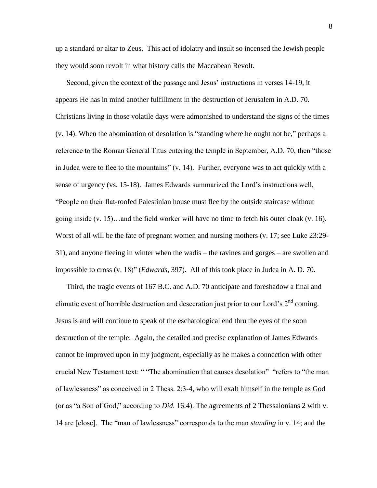up a standard or altar to Zeus. This act of idolatry and insult so incensed the Jewish people they would soon revolt in what history calls the Maccabean Revolt.

Second, given the context of the passage and Jesus' instructions in verses 14-19, it appears He has in mind another fulfillment in the destruction of Jerusalem in A.D. 70. Christians living in those volatile days were admonished to understand the signs of the times (v. 14). When the abomination of desolation is "standing where he ought not be," perhaps a reference to the Roman General Titus entering the temple in September, A.D. 70, then "those in Judea were to flee to the mountains" (v. 14). Further, everyone was to act quickly with a sense of urgency (vs. 15-18). James Edwards summarized the Lord's instructions well, "People on their flat-roofed Palestinian house must flee by the outside staircase without going inside (v. 15)…and the field worker will have no time to fetch his outer cloak (v. 16). Worst of all will be the fate of pregnant women and nursing mothers (v. 17; see Luke 23:29- 31), and anyone fleeing in winter when the wadis – the ravines and gorges – are swollen and impossible to cross (v. 18)" (*Edwards*, 397). All of this took place in Judea in A. D. 70.

Third, the tragic events of 167 B.C. and A.D. 70 anticipate and foreshadow a final and climatic event of horrible destruction and desecration just prior to our Lord's  $2<sup>nd</sup>$  coming. Jesus is and will continue to speak of the eschatological end thru the eyes of the soon destruction of the temple. Again, the detailed and precise explanation of James Edwards cannot be improved upon in my judgment, especially as he makes a connection with other crucial New Testament text: " "The abomination that causes desolation" "refers to "the man of lawlessness" as conceived in 2 Thess. 2:3-4, who will exalt himself in the temple as God (or as "a Son of God," according to *Did*. 16:4). The agreements of 2 Thessalonians 2 with v. 14 are [close]. The "man of lawlessness" corresponds to the man *standing* in v. 14; and the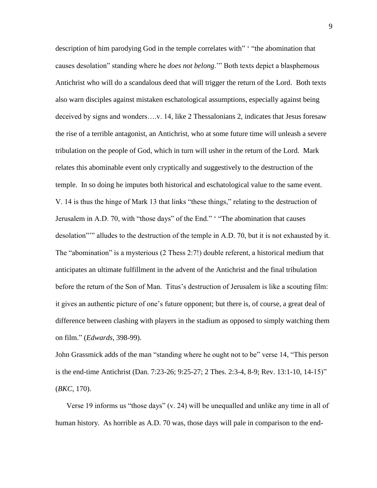description of him parodying God in the temple correlates with" "the abomination that causes desolation" standing where he *does not belong*.'" Both texts depict a blasphemous Antichrist who will do a scandalous deed that will trigger the return of the Lord. Both texts also warn disciples against mistaken eschatological assumptions, especially against being deceived by signs and wonders….v. 14, like 2 Thessalonians 2, indicates that Jesus foresaw the rise of a terrible antagonist, an Antichrist, who at some future time will unleash a severe tribulation on the people of God, which in turn will usher in the return of the Lord. Mark relates this abominable event only cryptically and suggestively to the destruction of the temple. In so doing he imputes both historical and eschatological value to the same event. V. 14 is thus the hinge of Mark 13 that links "these things," relating to the destruction of Jerusalem in A.D. 70, with "those days" of the End." ' "The abomination that causes desolation"'" alludes to the destruction of the temple in A.D. 70, but it is not exhausted by it. The "abomination" is a mysterious (2 Thess 2:7!) double referent, a historical medium that anticipates an ultimate fulfillment in the advent of the Antichrist and the final tribulation before the return of the Son of Man. Titus's destruction of Jerusalem is like a scouting film: it gives an authentic picture of one's future opponent; but there is, of course, a great deal of difference between clashing with players in the stadium as opposed to simply watching them on film." (*Edwards*, 398-99).

John Grassmick adds of the man "standing where he ought not to be" verse 14, "This person is the end-time Antichrist (Dan. 7:23-26; 9:25-27; 2 Thes. 2:3-4, 8-9; Rev. 13:1-10, 14-15)" (*BKC*, 170).

Verse 19 informs us "those days" (v. 24) will be unequalled and unlike any time in all of human history. As horrible as A.D. 70 was, those days will pale in comparison to the end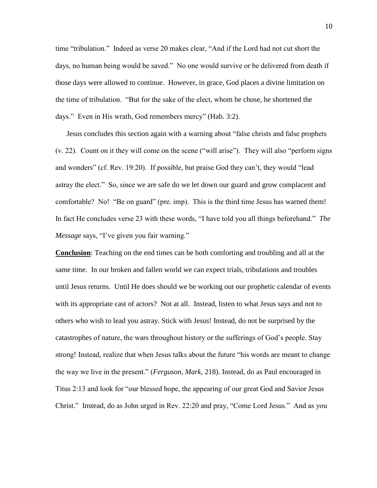time "tribulation." Indeed as verse 20 makes clear, "And if the Lord had not cut short the days, no human being would be saved." No one would survive or be delivered from death if those days were allowed to continue. However, in grace, God places a divine limitation on the time of tribulation. "But for the sake of the elect, whom he chose, he shortened the days." Even in His wrath, God remembers mercy" (Hab. 3:2).

Jesus concludes this section again with a warning about "false christs and false prophets (v. 22). Count on it they will come on the scene ("will arise"). They will also "perform signs and wonders" (cf. Rev. 19:20). If possible, but praise God they can't, they would "lead astray the elect." So, since we are safe do we let down our guard and grow complacent and comfortable? No! "Be on guard" (pre. imp). This is the third time Jesus has warned them! In fact He concludes verse 23 with these words, "I have told you all things beforehand." *The Message* says, "I've given you fair warning."

**Conclusion**: Teaching on the end times can be both comforting and troubling and all at the same time. In our broken and fallen world we can expect trials, tribulations and troubles until Jesus returns. Until He does should we be working out our prophetic calendar of events with its appropriate cast of actors? Not at all. Instead, listen to what Jesus says and not to others who wish to lead you astray. Stick with Jesus! Instead, do not be surprised by the catastrophes of nature, the wars throughout history or the sufferings of God's people. Stay strong! Instead, realize that when Jesus talks about the future "his words are meant to change the way we live in the present." (*Ferguson, Mark,* 218). Instead, do as Paul encouraged in Titus 2:13 and look for "our blessed hope, the appearing of our great God and Savior Jesus Christ." Instead, do as John urged in Rev. 22:20 and pray, "Come Lord Jesus." And as you